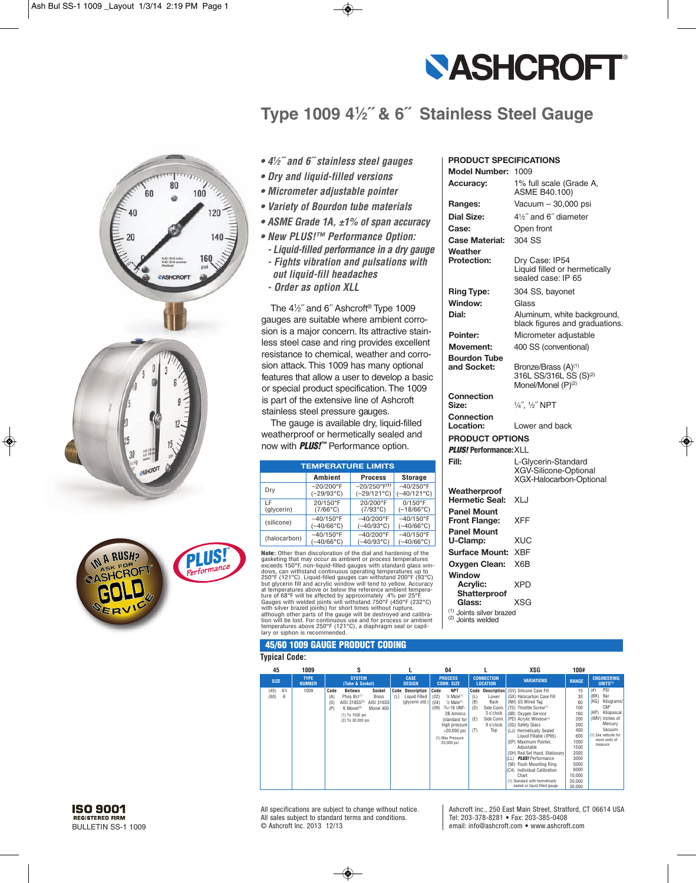

# Type 1009 41/2" & 6" Stainless Steel Gauge





- $\bullet$  4<sup>1</sup>/<sub>2</sub><sup>"</sup> and 6<sup>"</sup> stainless steel gauges
- *• D ry a n d liq u id - fille d ve rs ions*
- *• Microm e te r a djusta b le p o in te r*
- *• Va rie ty o f B ou rdon tu b e m a te ria ls*
- *• A SME Gra de 1A , ± 1 % of spa n accuracy*
- New PLUS!<sup>™</sup> Performance Option:
- *- L iquid-filled performance in a dry gauge*
- *- Fig h ts vib ra tion a n d p u lsa tions with ou t liq u id - fill h e a da ch es - Orde r as op tion XL L*

The 4<sup>1</sup>/<sub>2</sub>" and 6" Ashcroft<sup>®</sup> Type 1009 gauges are suitable where ambient corrosion is a major concern. Its attractive stainless steel case and ring provides excellent resistance to chemical, weather and corrosion attack. This 1009 has many optional features that allow a user to develop a basic or special product specification. The 1009 is part of the extensive line of Ashcroft stainless steel pressure gauges.

The gauge is available dry, liquid-filled weatherproof or hermetically sealed and now with **PLUS!<sup>™</sup> Performance option.** 

| <b>TEMPERATURE LIMITS</b> |                     |                          |                      |  |  |  |  |  |  |  |
|---------------------------|---------------------|--------------------------|----------------------|--|--|--|--|--|--|--|
|                           | <b>Ambient</b>      | <b>Process</b>           | <b>Storage</b>       |  |  |  |  |  |  |  |
| Drv                       | $-20/200^{\circ}$ F | $-20/250^{\circ}F^{(1)}$ | $-40/250$ °F         |  |  |  |  |  |  |  |
|                           | $(-29/93°C)$        | $(-29/121^{\circ}C)$     | $(-40/121^{\circ}C)$ |  |  |  |  |  |  |  |
| ΙF                        | 20/150°F            | 20/200°F                 | $0/150$ °F           |  |  |  |  |  |  |  |
| (glycerin)                | $(7/66^{\circ}C)$   | $(7/93^{\circ}C)$        | $(-18/66^{\circ}C)$  |  |  |  |  |  |  |  |
| (silicone)                | $-40/150^{\circ}$ F | $-40/200$ °F             | $-40/150$ °F         |  |  |  |  |  |  |  |
|                           | $(-40/66^{\circ}C)$ | $(-40/93^{\circ}C)$      | $(-40/66^{\circ}C)$  |  |  |  |  |  |  |  |
| (halocarbon)              | $-40/150^{\circ}$ F | $-40/200^{\circ}$ F      | $-40/150^{\circ}$ F  |  |  |  |  |  |  |  |
|                           | $(-40/66^{\circ}C)$ | $(-40/93^{\circ}C)$      | $(-40/66^{\circ}C)$  |  |  |  |  |  |  |  |

**Note:** Other than discoloration of the dial and hardening of the **CONSTRAINING TO A CONSTRAINING TO A CONSTRAINING TO A CONSTRAINING SECTION CONSTRAINING TO A CONSTRAINING TO A CONSTRAINING TO A CONSTRAINING TO A CONSTRAINING TO A CONSTRAINING TO A CONSTRAINING TO A CONSTRAINING TO A CO** 250°F (121°C). Liquid-filled gauges can withstand 200°F (93°C)<br>but glycerin fill and acrylic window will tend to yellow. Accuracy<br>at temperatures above or below the reference ambient temperatures<br>ture of 68°F will be affec state of the strate of the dauge will be destroyed and calibra-<br>although other parts of the gauge will be destroyed and calibration will be lost. For continuous use and for process or ambient<br>temperatures above 250°F (121°C), a diaphragm seal or capillary or siphon is recommended.

## **45/60 1009 GAUGE PRODUCT CODING**

#### **Typical Code:**

| 45                | 1009                         | s                                                                                                                                                                                                                     |                                                                           | 04                                                                                                                                                                                                                      |                                                                                                                                   | XSG                                                                                                                                                                                                                                                                                                                                                                                                                                                                                                  | 100#                                                                                                                                   |                                                                                                                                                                                     |
|-------------------|------------------------------|-----------------------------------------------------------------------------------------------------------------------------------------------------------------------------------------------------------------------|---------------------------------------------------------------------------|-------------------------------------------------------------------------------------------------------------------------------------------------------------------------------------------------------------------------|-----------------------------------------------------------------------------------------------------------------------------------|------------------------------------------------------------------------------------------------------------------------------------------------------------------------------------------------------------------------------------------------------------------------------------------------------------------------------------------------------------------------------------------------------------------------------------------------------------------------------------------------------|----------------------------------------------------------------------------------------------------------------------------------------|-------------------------------------------------------------------------------------------------------------------------------------------------------------------------------------|
| <b>SIZE</b>       | <b>TYPE</b><br><b>NUMBER</b> | <b>SYSTEM</b><br>(Tube & Socket)                                                                                                                                                                                      | <b>CASE</b><br><b>DESIGN</b>                                              | <b>PROCESS</b><br><b>CONN. SIZE</b>                                                                                                                                                                                     | <b>CONNECTION</b><br><b>LOCATION</b>                                                                                              | <b>VARIATIONS</b>                                                                                                                                                                                                                                                                                                                                                                                                                                                                                    | <b>RANGE</b>                                                                                                                           | <b>ENGINEERING</b><br>UNITS <sup>(1)</sup>                                                                                                                                          |
| (45)<br>(60)<br>6 | 1009<br>4%                   | Code<br><b>Bellows</b><br>Socket<br>Phos Brz <sup>(1)</sup><br><b>Brass</b><br>(A)<br>AISI 316SS(2)<br><b>AISI 316SS</b><br>(S)<br>(P)<br>K Monel <sup>(2)</sup><br>Monel 400<br>(1) To 1000 psi<br>(2) To 30,000 psi | <b>Code Description</b><br><b>Liquid Filled</b><br>(L)<br>(glycerin std.) | <b>NPT</b><br>Code<br>1/4 Male <sup>(1)</sup><br>(02)<br>(04)<br>$\frac{1}{2}$ Male <sup>(1)</sup><br>%-18 UNF-<br>(09)<br>2B Aminco<br>(standard for<br>high pressure<br>>20.000 psi<br>(1) Max Pressure<br>20,000 psi | Code Description<br>(L)<br>Lower<br>(B)<br>Back<br>Side Conn.<br>(D)<br>3 o'clock<br>Side Conn.<br>(E)<br>9 o'clock<br>Top<br>(T) | (GV) Silicone Case Fill<br>(GX) Halocarbon Case Fill<br>(NH) SS Wired Tag<br>(TS) Throttle Screw <sup>(1)</sup><br>(6B) Oxygen Service<br>(PD) Acrylic Window <sup>(1)</sup><br>(SG) Safety Glass<br>(LJ) Hermetically Sealed<br>Liquid Fillable (IP65)<br>(EP) Maximum Pointer.<br>Adiustable<br>(SH) Red Set Hand, Stationary<br>(LL) PLUS! Performance<br>(56) Flush Mounting Ring<br>Individual Calibration<br>(C4)<br>Chart<br>(1) Standard with hermetically<br>sealed or liquid filled gauge. | 15<br>30<br>60<br>100<br>160<br>200<br>300<br>400<br>600<br>1000<br>1500<br>2000<br>3000<br>5000<br>6000<br>10,000<br>20,000<br>30,000 | PSI<br>(#)<br>(BR)<br>Bar<br>(KG)<br>Kilograms/<br>CM <sup>2</sup><br>Kilopascal<br>(KP)<br>(IMV) Inches of<br>Mercury<br>Vacuum<br>(1) See website for<br>more units of<br>measure |

**PRODUCT SPECIFICATIONS** 

| <b>Model Number:</b>                                                | 1009                                                                    |
|---------------------------------------------------------------------|-------------------------------------------------------------------------|
| <b>Accuracy:</b>                                                    | 1% full scale (Grade A,<br>ASME B40.100)                                |
| Ranges:                                                             | Vacuum - 30,000 psi                                                     |
| <b>Dial Size:</b>                                                   | 4½" and 6" diameter                                                     |
| Case:                                                               | Open front                                                              |
| <b>Case Material:</b>                                               | 304 SS                                                                  |
| Weather                                                             |                                                                         |
| <b>Protection:</b>                                                  | Dry Case: IP54<br>Liquid filled or hermetically<br>sealed case: IP 65   |
| <b>Ring Type:</b>                                                   | 304 SS, bayonet                                                         |
| Window:                                                             | Glass                                                                   |
| Dial:                                                               | Aluminum, white background,<br>black figures and graduations.           |
| Pointer:                                                            | Micrometer adjustable                                                   |
| <b>Movement:</b>                                                    | 400 SS (conventional)                                                   |
| <b>Bourdon Tube</b><br>and Socket:                                  | Bronze/Brass (A) <sup>(1)</sup>                                         |
|                                                                     | 316L SS/316L SS (S) <sup>(2)</sup><br>Monel/Monel (P) <sup>(2)</sup>    |
| <b>Connection</b><br>Size:                                          | 1/4", 1/2" NPT                                                          |
| Connection<br>Location:                                             | Lower and back                                                          |
| <b>PRODUCT OPTIONS</b>                                              |                                                                         |
| <b>PLUS! Performance: XLL</b>                                       |                                                                         |
| Fill:                                                               | L-Glycerin-Standard<br>XGV-Silicone-Optional<br>XGX-Halocarbon-Optional |
| Weatherproof<br><b>Hermetic Seal:</b>                               | XLJ                                                                     |
| <b>Panel Mount</b><br><b>Front Flange:</b>                          | <b>XFF</b>                                                              |
| <b>Panel Mount</b><br>U-Clamp:                                      | XUC                                                                     |
| <b>Surface Mount:</b>                                               | <b>XBF</b>                                                              |
| Oxygen Clean:                                                       | X6B                                                                     |
| Window<br><b>Acrylic:</b>                                           | <b>XPD</b>                                                              |
| Shatterproof<br>Glass:                                              | XSG                                                                     |
| $\binom{1}{1}$ Joints silver brazed<br><sup>(2)</sup> Joints welded |                                                                         |

All specifications are subject to change without notice. All sales subject to standard terms and conditions. © Ashcroft Inc. 2013 12/13

Ashcroft Inc., 250 East Main Street, Stratford, CT 06614 USA Tel: 203-378-8281 · Fax: 203-385-0408 email: info@ashcroft.com . www.ashcroft.com

**ISO 9001 REGISTERED FIRM** BULLETIN SS-1 1009